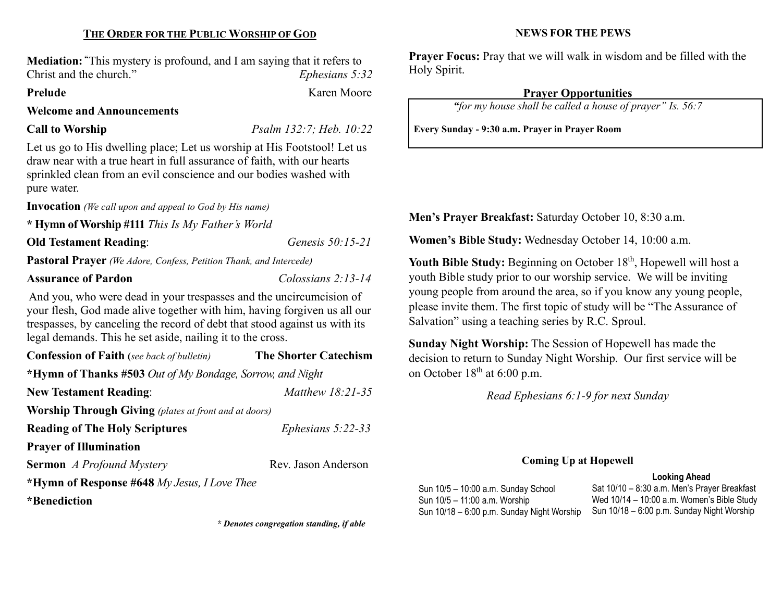# THE ORDER FOR THE PUBLIC WORSHIP OF GOD

Mediation: "This mystery is profound, and I am saying that it refers to Christ and the church." Ephesians 5:32

#### Prelude Karen Moore

#### Welcome and Announcements

Call to Worship Psalm 132:7; Heb. 10:22

Let us go to His dwelling place; Let us worship at His Footstool! Let us draw near with a true heart in full assurance of faith, with our hearts sprinkled clean from an evil conscience and our bodies washed with pure water.

Invocation (We call upon and appeal to God by His name)

\* Hymn of Worship #111 This Is My Father's World

Old Testament Reading: Genesis 50:15-21

Pastoral Prayer (We Adore, Confess, Petition Thank, and Intercede)

#### Assurance of Pardon Colossians 2:13-14

And you, who were dead in your trespasses and the uncircumcision of your flesh, God made alive together with him, having forgiven us all our trespasses, by canceling the record of debt that stood against us with its legal demands. This he set aside, nailing it to the cross.

| <b>Confession of Faith</b> (see back of bulletin)            | <b>The Shorter Catechism</b> |  |  |  |
|--------------------------------------------------------------|------------------------------|--|--|--|
| *Hymn of Thanks #503 Out of My Bondage, Sorrow, and Night    |                              |  |  |  |
| <b>New Testament Reading:</b>                                | <i>Matthew 18:21-35</i>      |  |  |  |
| <b>Worship Through Giving</b> (plates at front and at doors) |                              |  |  |  |
| <b>Reading of The Holy Scriptures</b>                        | Ephesians $5:22-33$          |  |  |  |
| <b>Prayer of Illumination</b>                                |                              |  |  |  |
| <b>Sermon</b> A Profound Mystery                             | Rev. Jason Anderson          |  |  |  |
| *Hymn of Response #648 My Jesus, I Love Thee                 |                              |  |  |  |
| *Benediction                                                 |                              |  |  |  |

\* Denotes congregation standing, if able

#### NEWS FOR THE PEWS

Prayer Focus: Pray that we will walk in wisdom and be filled with the Holy Spirit.

# Prayer Opportunities

"for my house shall be called a house of prayer" Is. 56:7

Every Sunday - 9:30 a.m. Prayer in Prayer Room

Men's Prayer Breakfast: Saturday October 10, 8:30 a.m.

Women's Bible Study: Wednesday October 14, 10:00 a.m.

Youth Bible Study: Beginning on October 18<sup>th</sup>, Hopewell will host a youth Bible study prior to our worship service. We will be inviting young people from around the area, so if you know any young people, please invite them. The first topic of study will be "The Assurance of Salvation" using a teaching series by R.C. Sproul.

Sunday Night Worship: The Session of Hopewell has made the decision to return to Sunday Night Worship. Our first service will be on October  $18<sup>th</sup>$  at 6:00 p.m.

Read Ephesians 6:1-9 for next Sunday

#### Coming Up at Hopewell

#### Looking Ahead

Sun 10/5 – 10:00 a.m. Sunday School Sun 10/5 – 11:00 a.m. Worship Sun 10/18 – 6:00 p.m. Sunday Night Worship

Sat 10/10 – 8:30 a.m. Men's Prayer Breakfast Wed 10/14 – 10:00 a.m. Women's Bible Study Sun 10/18 – 6:00 p.m. Sunday Night Worship